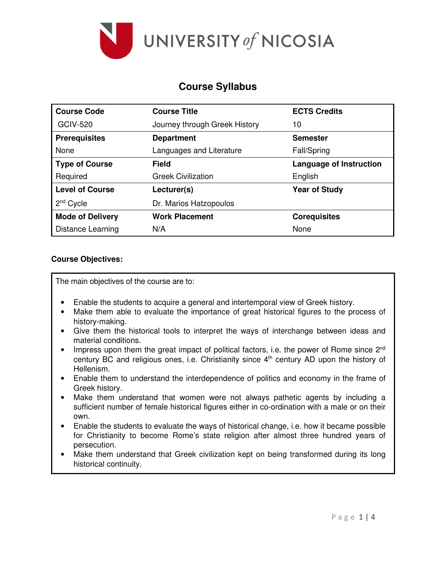

## **Course Syllabus**

| <b>Course Code</b>      | <b>Course Title</b>           | <b>ECTS Credits</b>            |
|-------------------------|-------------------------------|--------------------------------|
| <b>GCIV-520</b>         | Journey through Greek History | 10                             |
| <b>Prerequisites</b>    | <b>Department</b>             | <b>Semester</b>                |
| None                    | Languages and Literature      | Fall/Spring                    |
| <b>Type of Course</b>   | Field                         | <b>Language of Instruction</b> |
| Required                | <b>Greek Civilization</b>     | English                        |
| <b>Level of Course</b>  | Lecturer(s)                   | <b>Year of Study</b>           |
| $2nd$ Cycle             | Dr. Marios Hatzopoulos        |                                |
| <b>Mode of Delivery</b> | <b>Work Placement</b>         | <b>Corequisites</b>            |
| Distance Learning       | N/A                           | None                           |

#### **Course Objectives:**

The main objectives of the course are to:

- Enable the students to acquire a general and intertemporal view of Greek history.
- Make them able to evaluate the importance of great historical figures to the process of history-making.
- Give them the historical tools to interpret the ways of interchange between ideas and material conditions.
- Impress upon them the great impact of political factors, i.e. the power of Rome since  $2^{nd}$ century BC and religious ones, i.e. Christianity since 4<sup>th</sup> century AD upon the history of Hellenism.
- Enable them to understand the interdependence of politics and economy in the frame of Greek history.
- Make them understand that women were not always pathetic agents by including a sufficient number of female historical figures either in co-ordination with a male or on their own.
- Enable the students to evaluate the ways of historical change, i.e. how it became possible for Christianity to become Rome's state religion after almost three hundred years of persecution.
- Make them understand that Greek civilization kept on being transformed during its long historical continuity.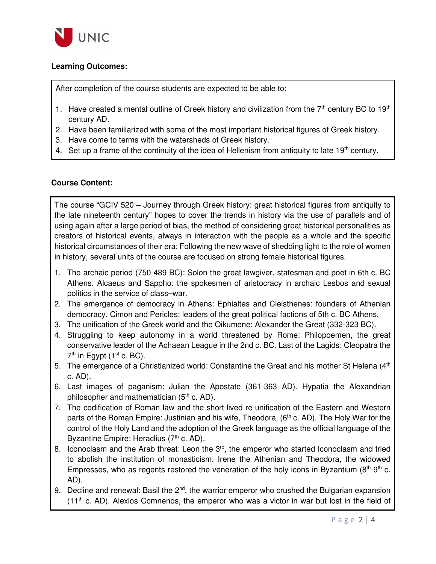

## **Learning Outcomes:**

After completion of the course students are expected to be able to:

- 1. Have created a mental outline of Greek history and civilization from the  $7<sup>th</sup>$  century BC to 19<sup>th</sup> century AD.
- 2. Have been familiarized with some of the most important historical figures of Greek history.
- 3. Have come to terms with the watersheds of Greek history.
- 4. Set up a frame of the continuity of the idea of Hellenism from antiquity to late 19<sup>th</sup> century.

### **Course Content:**

The course "GCIV 520 – Journey through Greek history: great historical figures from antiquity to the late nineteenth century" hopes to cover the trends in history via the use of parallels and of using again after a large period of bias, the method of considering great historical personalities as creators of historical events, always in interaction with the people as a whole and the specific historical circumstances of their era: Following the new wave of shedding light to the role of women in history, several units of the course are focused on strong female historical figures.

- 1. The archaic period (750-489 BC): Solon the great lawgiver, statesman and poet in 6th c. BC Athens. Alcaeus and Sappho: the spokesmen of aristocracy in archaic Lesbos and sexual politics in the service of class–war.
- 2. The emergence of democracy in Athens: Ephialtes and Cleisthenes: founders of Athenian democracy. Cimon and Pericles: leaders of the great political factions of 5th c. BC Athens.
- 3. The unification of the Greek world and the Oikumene: Alexander the Great (332-323 BC).
- 4. Struggling to keep autonomy in a world threatened by Rome: Philopoemen, the great conservative leader of the Achaean League in the 2nd c. BC. Last of the Lagids: Cleopatra the  $7<sup>th</sup>$  in Egypt (1<sup>st</sup> c. BC).
- 5. The emergence of a Christianized world: Constantine the Great and his mother St Helena (4<sup>th</sup>) c. AD).
- 6. Last images of paganism: Julian the Apostate (361-363 AD). Hypatia the Alexandrian philosopher and mathematician  $(5<sup>th</sup>$  c. AD).
- 7. The codification of Roman law and the short-lived re-unification of the Eastern and Western parts of the Roman Empire: Justinian and his wife, Theodora,  $(6<sup>th</sup>$  c. AD). The Holy War for the control of the Holy Land and the adoption of the Greek language as the official language of the Byzantine Empire: Heraclius (7<sup>th</sup> c. AD).
- 8. Iconoclasm and the Arab threat: Leon the 3<sup>rd</sup>, the emperor who started Iconoclasm and tried to abolish the institution of monasticism. Irene the Athenian and Theodora, the widowed Empresses, who as regents restored the veneration of the holy icons in Byzantium ( $8<sup>th</sup>$ - $9<sup>th</sup>$  c. AD).
- 9. Decline and renewal: Basil the 2<sup>nd</sup>, the warrior emperor who crushed the Bulgarian expansion  $(11<sup>th</sup>$  c. AD). Alexios Comnenos, the emperor who was a victor in war but lost in the field of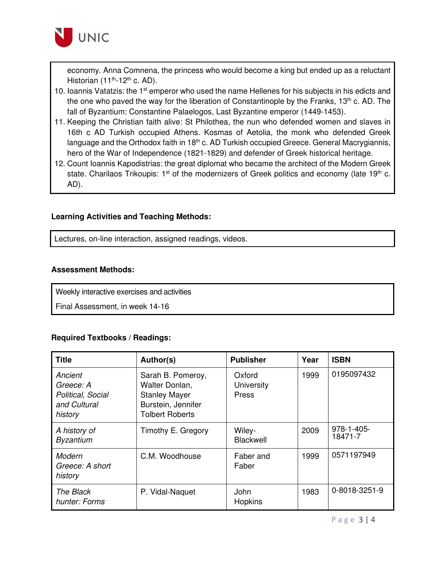

economy. Anna Comnena, the princess who would become a king but ended up as a reluctant Historian  $(11<sup>th</sup>-12<sup>th</sup>$  c. AD).

- 10. Ioannis Vatatzis: the 1<sup>st</sup> emperor who used the name Hellenes for his subjects in his edicts and the one who paved the way for the liberation of Constantinople by the Franks,  $13<sup>th</sup>$  c. AD. The fall of Byzantium: Constantine Palaelogos, Last Byzantine emperor (1449-1453).
- 11. Keeping the Christian faith alive: St Philothea, the nun who defended women and slaves in 16th c AD Turkish occupied Athens. Kosmas of Aetolia, the monk who defended Greek language and the Orthodox faith in 18<sup>th</sup> c. AD Turkish occupied Greece. General Macrygiannis, hero of the War of Independence (1821-1829) and defender of Greek historical heritage.
- 12. Count Ioannis Kapodistrias: the great diplomat who became the architect of the Modern Greek state. Charilaos Trikoupis:  $1<sup>st</sup>$  of the modernizers of Greek politics and economy (late  $19<sup>th</sup>$  c. AD).

#### **Learning Activities and Teaching Methods:**

Lectures, on-line interaction, assigned readings, videos.

#### **Assessment Methods:**

Weekly interactive exercises and activities

Final Assessment, in week 14-16

#### **Required Textbooks / Readings:**

| <b>Title</b>                                                         | Author(s)                                                                                                   | <b>Publisher</b>              | Year | <b>ISBN</b>           |
|----------------------------------------------------------------------|-------------------------------------------------------------------------------------------------------------|-------------------------------|------|-----------------------|
| Ancient<br>Greece: A<br>Political, Social<br>and Cultural<br>history | Sarah B. Pomeroy,<br>Walter Donlan,<br><b>Stanley Mayer</b><br>Burstein, Jennifer<br><b>Tolbert Roberts</b> | Oxford<br>University<br>Press | 1999 | 0195097432            |
| A history of<br><b>Byzantium</b>                                     | Timothy E. Gregory                                                                                          | Wiley-<br>Blackwell           | 2009 | 978-1-405-<br>18471-7 |
| Modern<br>Greece: A short<br>history                                 | C.M. Woodhouse                                                                                              | Faber and<br>Faber            | 1999 | 0571197949            |
| The Black<br>hunter: Forms                                           | P. Vidal-Naquet                                                                                             | John<br>Hopkins               | 1983 | 0-8018-3251-9         |